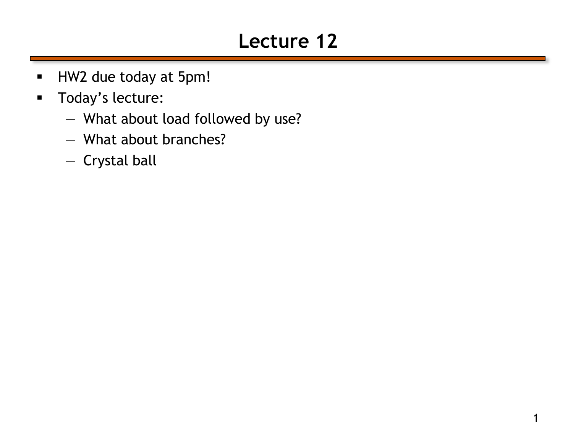# **Lecture 12**

- HW2 due today at 5pm!
- **Today's lecture:** 
	- What about load followed by use?
	- What about branches?
	- Crystal ball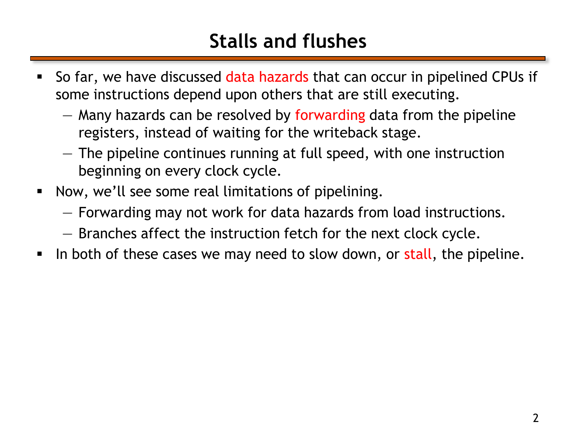# **Stalls and flushes**

- So far, we have discussed data hazards that can occur in pipelined CPUs if some instructions depend upon others that are still executing.
	- Many hazards can be resolved by forwarding data from the pipeline registers, instead of waiting for the writeback stage.
	- The pipeline continues running at full speed, with one instruction beginning on every clock cycle.
- **Now, we'll see some real limitations of pipelining.** 
	- Forwarding may not work for data hazards from load instructions.
	- Branches affect the instruction fetch for the next clock cycle.
- In both of these cases we may need to slow down, or stall, the pipeline.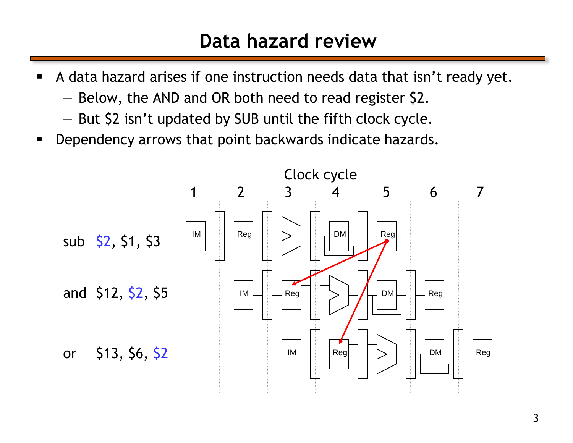#### **Data hazard review**

- A data hazard arises if one instruction needs data that isn't ready yet.
	- Below, the AND and OR both need to read register \$2.
	- But \$2 isn't updated by SUB until the fifth clock cycle.
- **Dependency arrows that point backwards indicate hazards.**

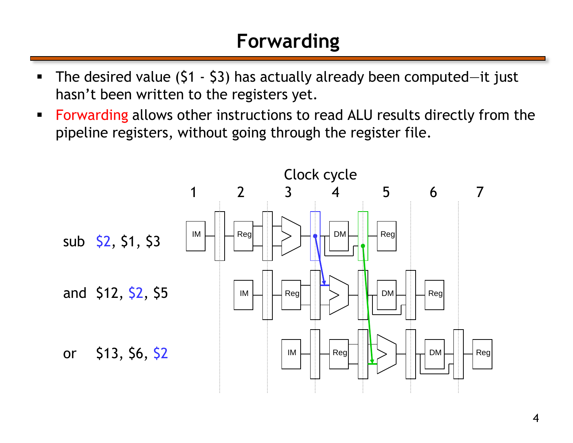# **Forwarding**

- The desired value (\$1 \$3) has actually already been computed—it just hasn't been written to the registers yet.
- **Forwarding allows other instructions to read ALU results directly from the** pipeline registers, without going through the register file.

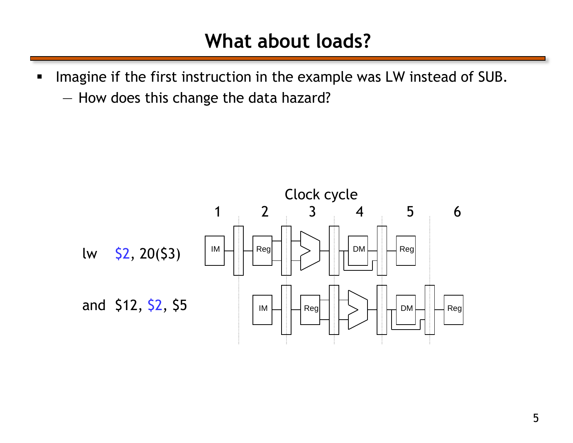#### **What about loads?**

- Imagine if the first instruction in the example was LW instead of SUB.
	- How does this change the data hazard?

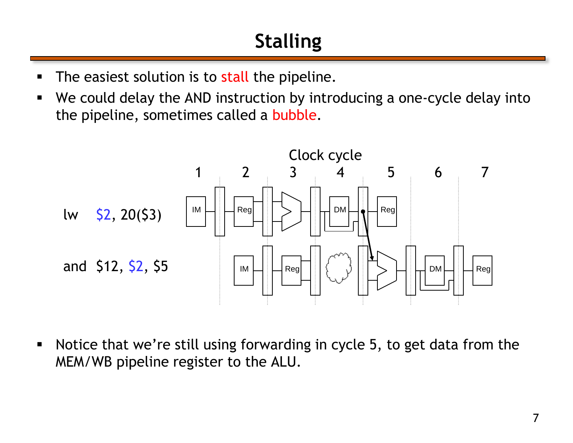# **Stalling**

- The easiest solution is to stall the pipeline.
- We could delay the AND instruction by introducing a one-cycle delay into the pipeline, sometimes called a bubble.



 Notice that we're still using forwarding in cycle 5, to get data from the MEM/WB pipeline register to the ALU.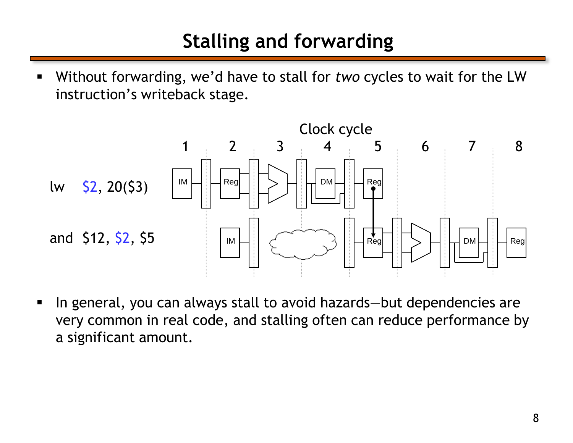# **Stalling and forwarding**

 Without forwarding, we'd have to stall for *two* cycles to wait for the LW instruction's writeback stage.



■ In general, you can always stall to avoid hazards—but dependencies are very common in real code, and stalling often can reduce performance by a significant amount.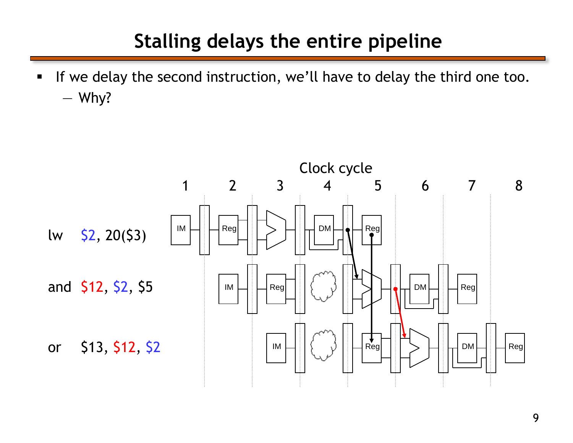### **Stalling delays the entire pipeline**

If we delay the second instruction, we'll have to delay the third one too. — Why?

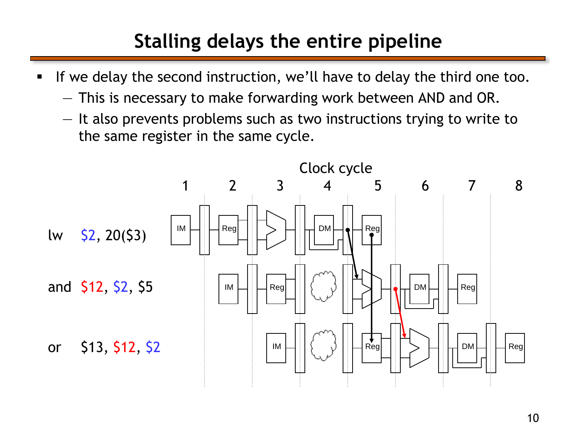# **Stalling delays the entire pipeline**

- If we delay the second instruction, we'll have to delay the third one too.
	- This is necessary to make forwarding work between AND and OR.
	- It also prevents problems such as two instructions trying to write to the same register in the same cycle.

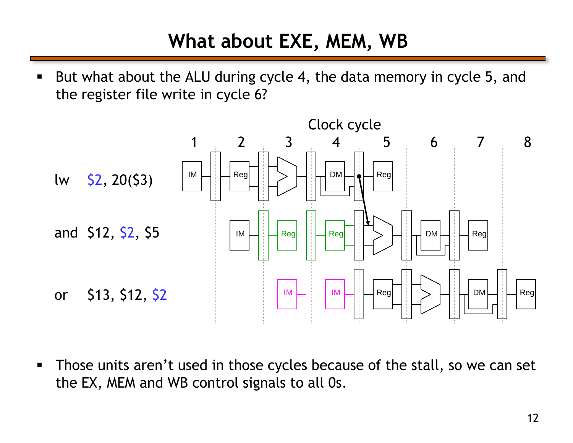# **What about EXE, MEM, WB**

 But what about the ALU during cycle 4, the data memory in cycle 5, and the register file write in cycle 6?



**Those units aren't used in those cycles because of the stall, so we can set** the EX, MEM and WB control signals to all 0s.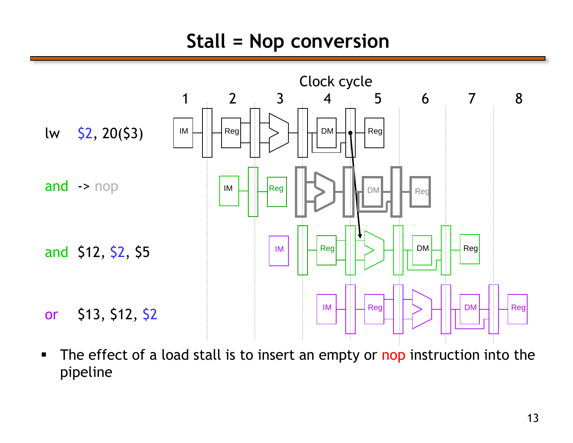### **Stall = Nop conversion**



The effect of a load stall is to insert an empty or nop instruction into the pipeline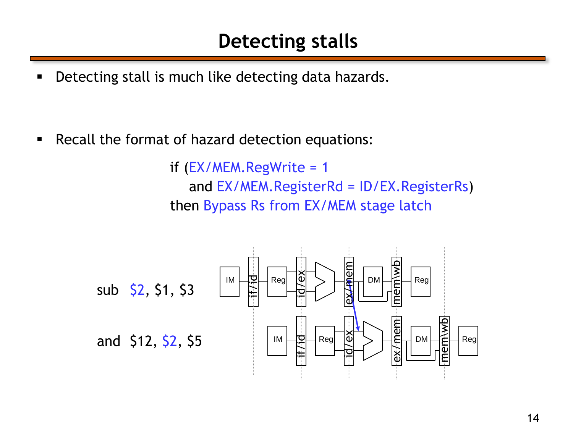### **Detecting stalls**

**Detecting stall is much like detecting data hazards.** 

**Recall the format of hazard detection equations:** 

if  $(EX/MEM.RegWrite = 1$ and EX/MEM.RegisterRd = ID/EX.RegisterRs) then Bypass Rs from EX/MEM stage latch

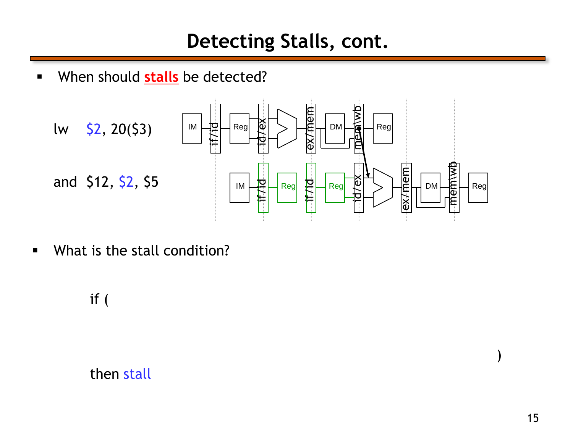**When should stalls** be detected?



**What is the stall condition?** 

if (

then stall

)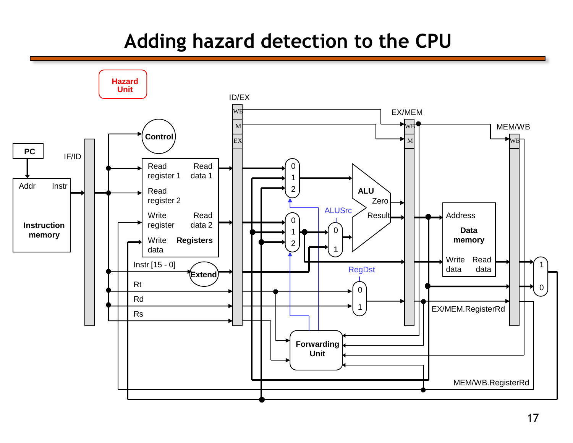### **Adding hazard detection to the CPU**

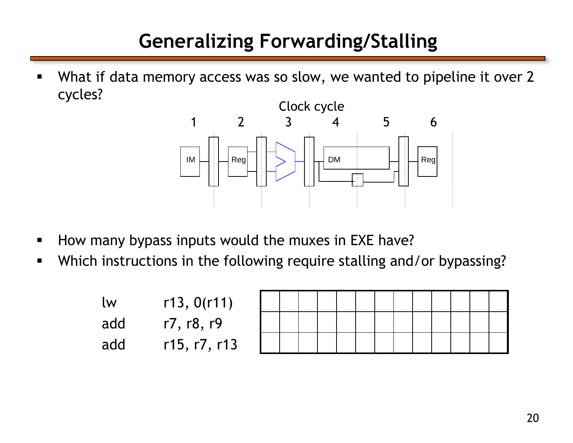# **Generalizing Forwarding/Stalling**

 What if data memory access was so slow, we wanted to pipeline it over 2 cycles?



- How many bypass inputs would the muxes in EXE have?
- Which instructions in the following require stalling and/or bypassing?

| <u>lw</u> | r13, 0(r11)  |  |  |  |  |
|-----------|--------------|--|--|--|--|
| add       | r7, r8, r9   |  |  |  |  |
| add       | r15, r7, r13 |  |  |  |  |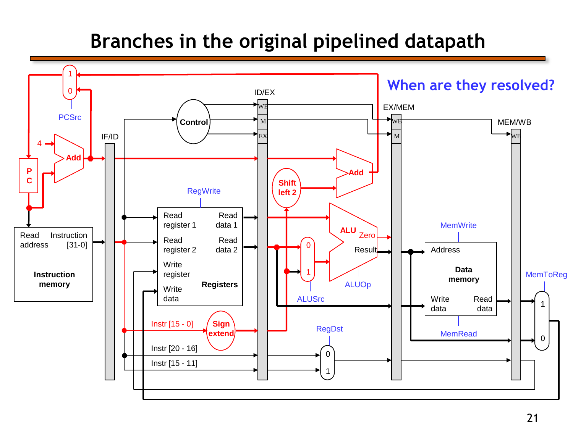### **Branches in the original pipelined datapath**

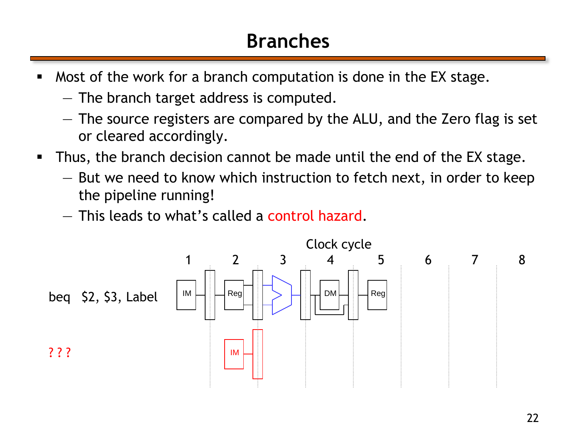# **Branches**

- **Most of the work for a branch computation is done in the EX stage.** 
	- The branch target address is computed.
	- The source registers are compared by the ALU, and the Zero flag is set or cleared accordingly.
- Thus, the branch decision cannot be made until the end of the EX stage.
	- But we need to know which instruction to fetch next, in order to keep the pipeline running!
	- This leads to what's called a control hazard.

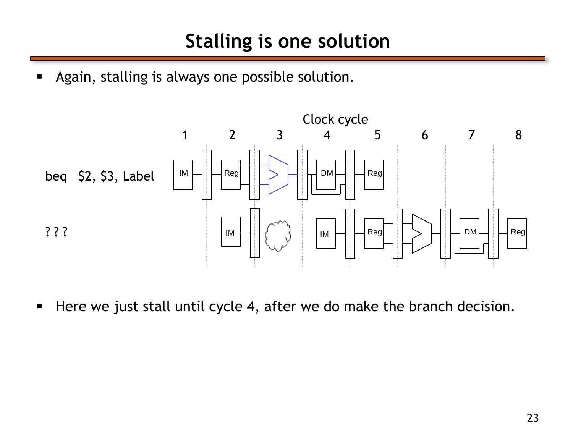**Again, stalling is always one possible solution.** 



Here we just stall until cycle 4, after we do make the branch decision.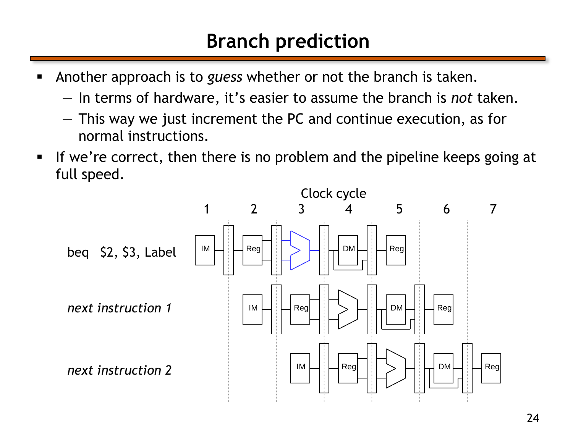# **Branch prediction**

- Another approach is to *guess* whether or not the branch is taken.
	- In terms of hardware, it's easier to assume the branch is *not* taken.
	- This way we just increment the PC and continue execution, as for normal instructions.
- If we're correct, then there is no problem and the pipeline keeps going at full speed.

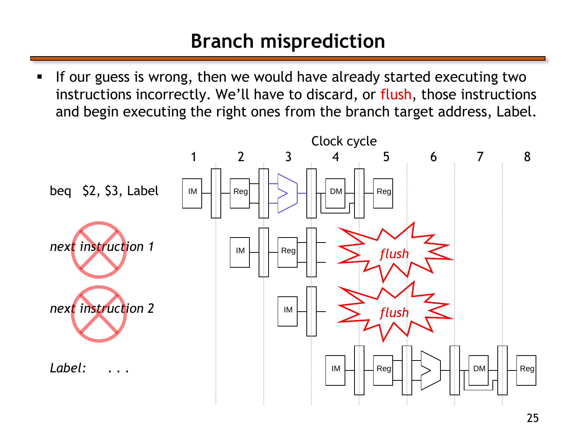# **Branch misprediction**

If our guess is wrong, then we would have already started executing two instructions incorrectly. We'll have to discard, or flush, those instructions and begin executing the right ones from the branch target address, Label.

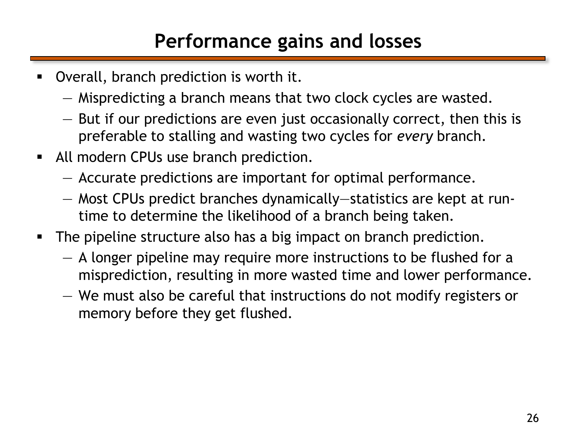# **Performance gains and losses**

- Overall, branch prediction is worth it.
	- Mispredicting a branch means that two clock cycles are wasted.
	- But if our predictions are even just occasionally correct, then this is preferable to stalling and wasting two cycles for *every* branch.
- All modern CPUs use branch prediction.
	- Accurate predictions are important for optimal performance.
	- Most CPUs predict branches dynamically—statistics are kept at runtime to determine the likelihood of a branch being taken.
- The pipeline structure also has a big impact on branch prediction.
	- A longer pipeline may require more instructions to be flushed for a misprediction, resulting in more wasted time and lower performance.
	- We must also be careful that instructions do not modify registers or memory before they get flushed.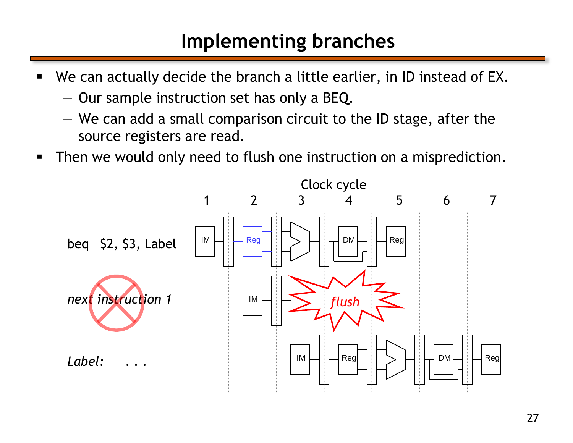### **Implementing branches**

- We can actually decide the branch a little earlier, in ID instead of EX.
	- Our sample instruction set has only a BEQ.
	- We can add a small comparison circuit to the ID stage, after the source registers are read.
- **Then we would only need to flush one instruction on a misprediction.**

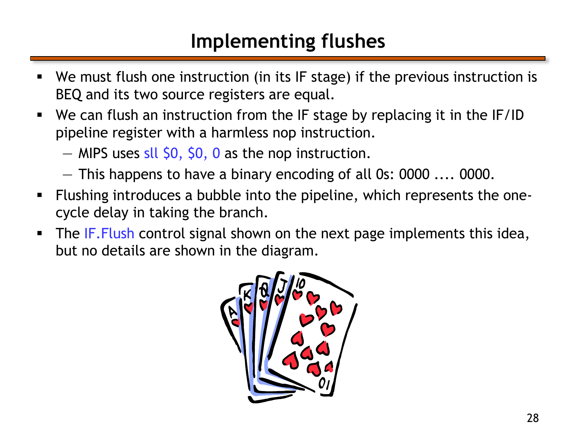# **Implementing flushes**

- We must flush one instruction (in its IF stage) if the previous instruction is BEQ and its two source registers are equal.
- We can flush an instruction from the IF stage by replacing it in the IF/ID pipeline register with a harmless nop instruction.
	- $-$  MIPS uses sll \$0, \$0, 0 as the nop instruction.
	- This happens to have a binary encoding of all 0s: 0000 .... 0000.
- Flushing introduces a bubble into the pipeline, which represents the onecycle delay in taking the branch.
- The IF. Flush control signal shown on the next page implements this idea, but no details are shown in the diagram.

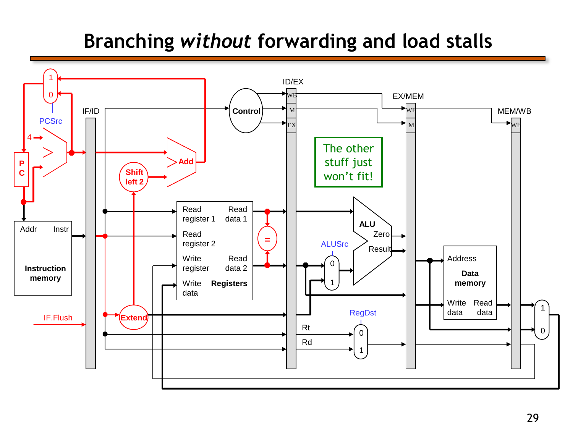# **Branching** *without* **forwarding and load stalls**

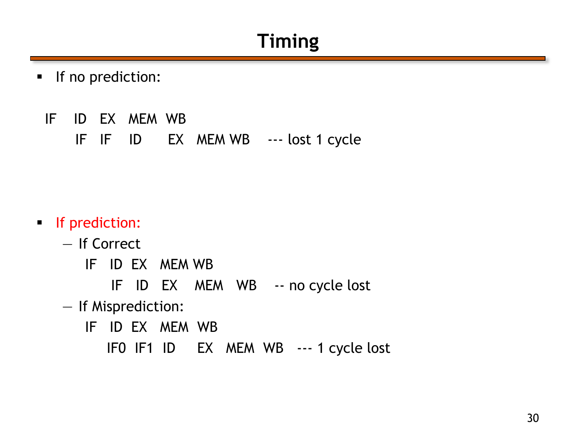### **Timing**

- **If no prediction:** 
	- IF ID EX MEM WB

IF IF ID EX MEM WB --- lost 1 cycle

- **If prediction:** 
	- If Correct
		- IF ID EX MEM WB
			- IF ID EX MEM WB -- no cycle lost
	- If Misprediction:
		- IF ID EX MEM WB
			- IF0 IF1 ID EX MEM WB --- 1 cycle lost